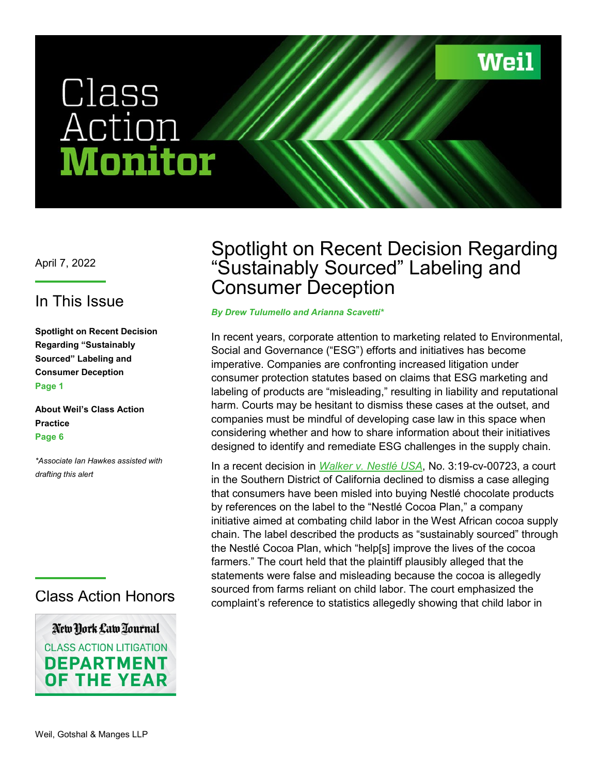Weil

# Class<br>Action En ouAT

April 7, 2022

### In This Issue

**Spotlight on Recent Decision Regarding "Sustainably Sourced" Labeling and Consumer Deception Page 1**

**About Weil's Class Action Practice Page 6** 

*\*Associate Ian Hawkes assisted with drafting this alert*

#### Class Action Honors

New York Law Tournal **CLASS ACTION LITIGATION DEPARTMENT OF THE YEAR** 

# Spotlight on Recent Decision Regarding "Sustainably Sourced" Labeling and Consumer Deception

#### *By Drew Tulumello and Arianna Scavetti\**

In recent years, corporate attention to marketing related to Environmental, Social and Governance ("ESG") efforts and initiatives has become imperative. Companies are confronting increased litigation under consumer protection statutes based on claims that ESG marketing and labeling of products are "misleading," resulting in liability and reputational harm. Courts may be hesitant to dismiss these cases at the outset, and companies must be mindful of developing case law in this space when considering whether and how to share information about their initiatives designed to identify and remediate ESG challenges in the supply chain.

In a recent decision in *[Walker v. Nestlé USA](https://www.weil.com/-/media/files/pdfs/2022/april/renee-walker-v-nestle-usa.pdf)*, No. 3:19-cv-00723, a court in the Southern District of California declined to dismiss a case alleging that consumers have been misled into buying Nestlé chocolate products by references on the label to the "Nestlé Cocoa Plan," a company initiative aimed at combating child labor in the West African cocoa supply chain. The label described the products as "sustainably sourced" through the Nestlé Cocoa Plan, which "help[s] improve the lives of the cocoa farmers." The court held that the plaintiff plausibly alleged that the statements were false and misleading because the cocoa is allegedly sourced from farms reliant on child labor. The court emphasized the complaint's reference to statistics allegedly showing that child labor in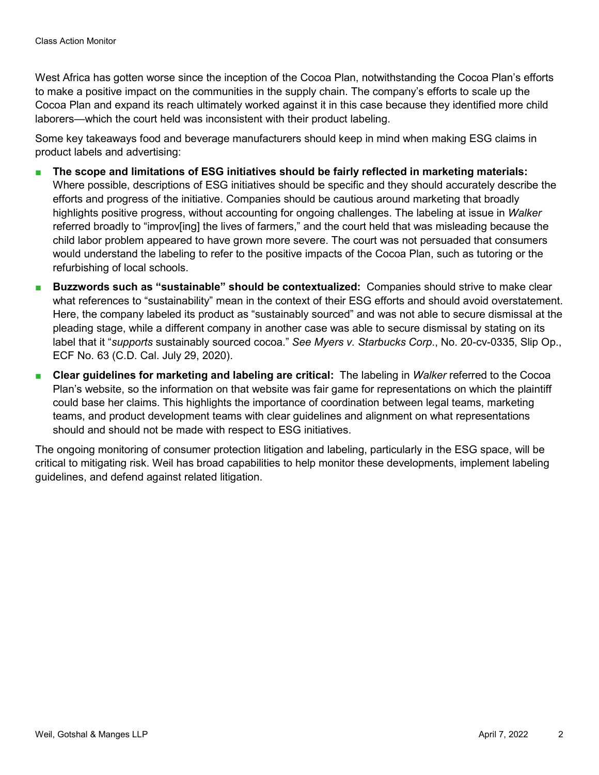West Africa has gotten worse since the inception of the Cocoa Plan, notwithstanding the Cocoa Plan's efforts to make a positive impact on the communities in the supply chain. The company's efforts to scale up the Cocoa Plan and expand its reach ultimately worked against it in this case because they identified more child laborers—which the court held was inconsistent with their product labeling.

Some key takeaways food and beverage manufacturers should keep in mind when making ESG claims in product labels and advertising:

- The scope and limitations of ESG initiatives should be fairly reflected in marketing materials: Where possible, descriptions of ESG initiatives should be specific and they should accurately describe the efforts and progress of the initiative. Companies should be cautious around marketing that broadly highlights positive progress, without accounting for ongoing challenges. The labeling at issue in *Walker* referred broadly to "improv[ing] the lives of farmers," and the court held that was misleading because the child labor problem appeared to have grown more severe. The court was not persuaded that consumers would understand the labeling to refer to the positive impacts of the Cocoa Plan, such as tutoring or the refurbishing of local schools.
- **Buzzwords such as "sustainable" should be contextualized: Companies should strive to make clear** what references to "sustainability" mean in the context of their ESG efforts and should avoid overstatement. Here, the company labeled its product as "sustainably sourced" and was not able to secure dismissal at the pleading stage, while a different company in another case was able to secure dismissal by stating on its label that it "*supports* sustainably sourced cocoa." *See Myers v. Starbucks Corp*., No. 20-cv-0335, Slip Op., ECF No. 63 (C.D. Cal. July 29, 2020).
- **Clear guidelines for marketing and labeling are critical:** The labeling in *Walker* referred to the Cocoa Plan's website, so the information on that website was fair game for representations on which the plaintiff could base her claims. This highlights the importance of coordination between legal teams, marketing teams, and product development teams with clear guidelines and alignment on what representations should and should not be made with respect to ESG initiatives.

The ongoing monitoring of consumer protection litigation and labeling, particularly in the ESG space, will be critical to mitigating risk. Weil has broad capabilities to help monitor these developments, implement labeling guidelines, and defend against related litigation.